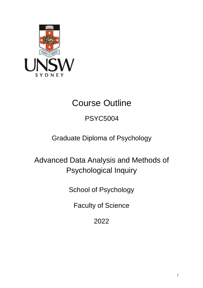

# Course Outline

# PSYC5004

# Graduate Diploma of Psychology

Advanced Data Analysis and Methods of Psychological Inquiry

School of Psychology

Faculty of Science

2022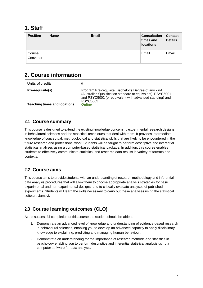## **1. Staff**

| <b>Position</b>    | <b>Name</b> | <b>Email</b> | <b>Consultation</b><br>times and<br><b>locations</b> | <b>Contact</b><br><b>Details</b> |
|--------------------|-------------|--------------|------------------------------------------------------|----------------------------------|
| Course<br>Convenor |             |              | Email                                                | Email                            |

# **2. Course information**

| Units of credit:                     | 6                                                                                                                                                                                           |
|--------------------------------------|---------------------------------------------------------------------------------------------------------------------------------------------------------------------------------------------|
| Pre-requisite(s):                    | Program Pre-requisite: Bachelor's Degree of any kind<br>(Australian Qualification standard or equivalent). PSYC5001<br>and PSYC5002 (or equivalent with advanced standing) and<br>PSYC5003. |
| <b>Teaching times and locations:</b> | <b>Online</b>                                                                                                                                                                               |

### **2.1 Course summary**

This course is designed to extend the existing knowledge concerning experimental research designs in behavioural sciences and the statistical techniques that deal with them. It provides intermediate knowledge of conceptual, methodological and statistical skills that are likely to be encountered in the future research and professional work. Students will be taught to perform descriptive and inferential statistical analyses using a computer-based statistical package. In addition, this course enables students to effectively communicate statistical and research data results in variety of formats and contexts.

## **2.2 Course aims**

This course aims to provide students with an understanding of research methodology and inferential data analysis procedures that will allow them to choose appropriate analysis strategies for basic experimental and non-experimental designs, and to critically evaluate analyses of published experiments. Students will learn the skills necessary to carry out these analyses using the statistical software Jamovi.

## **2.3 Course learning outcomes (CLO)**

At the successful completion of this course the student should be able to:

- 1. Demonstrate an advanced level of knowledge and understanding of evidence-based research in behavioural sciences, enabling you to develop an advanced capacity to apply disciplinary knowledge to explaining, predicting and managing human behaviour.
- 2. Demonstrate an understanding for the importance of research methods and statistics in psychology enabling you to perform descriptive and inferential statistical analysis using a computer software for data analysis.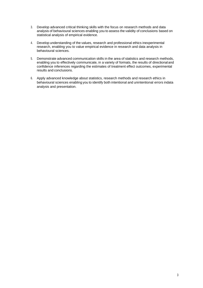- 3. Develop advanced critical thinking skills with the focus on research methods and data analysis of behavioural sciences enabling you to assess the validity of conclusions based on statistical analysis of empirical evidence.
- 4. Develop understanding of the values, research and professional ethics inexperimental research, enabling you to value empirical evidence in research and data analysis in behavioural sciences.
- 5. Demonstrate advanced communication skills in the area of statistics and research methods, enabling you to effectively communicate, in a variety of formats, the results of directionaland confidence inferences regarding the estimates of treatment effect outcomes, experimental results and conclusions.
- 6. Apply advanced knowledge about statistics, research methods and research ethics in behavioural sciences enabling you to identify both intentional and unintentional errors indata analysis and presentation.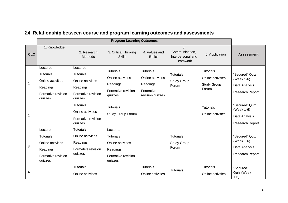|                | <b>Program Learning Outcomes</b>                                                               |                                                                                                |                                                                                                |                                                                                    |                                                              |                                                                      |                                                                         |
|----------------|------------------------------------------------------------------------------------------------|------------------------------------------------------------------------------------------------|------------------------------------------------------------------------------------------------|------------------------------------------------------------------------------------|--------------------------------------------------------------|----------------------------------------------------------------------|-------------------------------------------------------------------------|
| <b>CLO</b>     | 1. Knowledge                                                                                   | 2. Research<br>Methods                                                                         | 3. Critical Thinking<br><b>Skills</b>                                                          | 4. Values and<br><b>Ethics</b>                                                     | 5.<br>Communication,<br>Interpersonal and<br><b>Teamwork</b> | 6. Application                                                       | <b>Assessment</b>                                                       |
| $\mathbf{1}$ . | Lectures<br><b>Tutorials</b><br>Online activities<br>Readings<br>Formative revision<br>quizzes | Lectures<br><b>Tutorials</b><br>Online activities<br>Readings<br>Formative revision<br>quizzes | <b>Tutorials</b><br>Online activities<br>Readings<br>Formative revision<br>quizzes             | <b>Tutorials</b><br>Online activities<br>Readings<br>Formative<br>revision quizzes | <b>Tutorials</b><br><b>Study Group</b><br>Forum              | <b>Tutorials</b><br>Online activities<br><b>Study Group</b><br>Forum | "Secured" Quiz<br>(Week 1-6)<br>Data Analysis<br>Research Report        |
| 2.             |                                                                                                | <b>Tutorials</b><br>Online activities<br>Formative revision<br>quizzes                         | <b>Tutorials</b><br>Study Group Forum                                                          |                                                                                    |                                                              | <b>Tutorials</b><br>Online activities                                | "Secured" Quiz<br>(Week 1-6)<br>Data Analysis<br><b>Research Report</b> |
| 3.             | Lectures<br><b>Tutorials</b><br>Online activities<br>Readings<br>Formative revision<br>quizzes | <b>Tutorials</b><br>Online activities<br>Readings<br>Formative revision<br>quizzes             | Lectures<br><b>Tutorials</b><br>Online activities<br>Readings<br>Formative revision<br>quizzes |                                                                                    | <b>Tutorials</b><br><b>Study Group</b><br>Forum              |                                                                      | "Secured" Quiz<br>(Week 1-6)<br>Data Analysis<br>Research Report        |
| 4.             |                                                                                                | <b>Tutorials</b><br>Online activities                                                          |                                                                                                | <b>Tutorials</b><br>Online activities                                              | <b>Tutorials</b>                                             | <b>Tutorials</b><br>Online activities                                | "Secured"<br>Quiz (Week<br>$1-6)$                                       |

# **2.4 Relationship between course and program learning outcomes and assessments**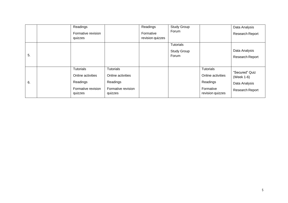|    | Readings<br>Formative revision |                               | Readings<br>Formative | <b>Study Group</b><br>Forum |                               | Data Analysis<br><b>Research Report</b> |
|----|--------------------------------|-------------------------------|-----------------------|-----------------------------|-------------------------------|-----------------------------------------|
|    | quizzes                        |                               | revision quizzes      |                             |                               |                                         |
|    |                                |                               |                       | <b>Tutorials</b>            |                               |                                         |
|    |                                |                               |                       | <b>Study Group</b>          |                               | Data Analysis                           |
| 5. |                                |                               |                       | Forum                       |                               | <b>Research Report</b>                  |
|    |                                |                               |                       |                             |                               |                                         |
|    | <b>Tutorials</b>               | <b>Tutorials</b>              |                       |                             | <b>Tutorials</b>              | "Secured" Quiz                          |
|    | Online activities              | Online activities             |                       |                             | Online activities             | (Week 1-6)                              |
| 6. | Readings                       | Readings                      |                       |                             | Readings                      | Data Analysis                           |
|    | Formative revision<br>quizzes  | Formative revision<br>quizzes |                       |                             | Formative<br>revision quizzes | Research Report                         |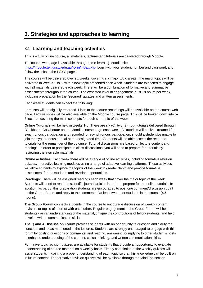# **3. Strategies and approaches to learning**

#### **3.1 Learning and teaching activities**

This is a fully online course, all materials, lectures and tutorials are delivered through Moodle.

The course web page is available through the e-learning Moodle site: [https://moodle.telt.unsw.edu.au/login/index.php.](https://moodle.telt.unsw.edu.au/login/index.php) Login with your student number and password, and follow the links to the PSYC page.

The course will be delivered over six weeks, covering six major topic areas. The major topics will be delivered in Weeks 1 to 6, with a new topic presented each week. Students are expected to engage with all materials delivered each week. There will be a combination of formative and summative assessments throughout the course. The expected level of engagement is 18-19 hours per week, including preparation for the "secured" quizzes and written assessments.

Each week students can expect the following:

**Lectures** will be digitally recorded. Links to the lecture recordings will be available on the course web page. Lecture slides will be also available on the Moodle course page. This will be broken down into 5- 6 lectures covering the main concepts for each sub-topic of the week

**Online Tutorials** will be held in weeks 1-6. There are six (6), two (2) hour tutorials delivered through Blackboard Collaborate on the Moodle course page each week. All tutorials will be live streamed for synchronous participation and recorded for asynchronous participation, should a student be unable to join the synchronous tutorial at the designated time. Students will be able access the recorded tutorials for the remainder of the co curse. Tutorial discussions are based on lecture content and readings. In order to participate in class discussions, you will need to prepare for tutorials by reviewing the available materials.

**Online activities:** Each week there will be a range of online activities, including formative revision quizzes, interactive learning modules using a range of adaptive learning platforms. These activities will allow students to explore the topics of the week in greater depth and provide formative assessment for the students and revision opportunities.

**Readings:** There will be assigned readings each week that cover the major topic of the week. Students will need to read the scientific journal articles in order to prepare for the online tutorials. In addition, as part of this preparation students are encouraged to post one comment/discussion point on the Group Forum and reply to the comment of at least two other students in the course (**4.5 hours**).

**The Group Forum** connects students in the course to encourage discussion of weekly content, revision, or topics of interest with each other. Regular engagement in the Group Forum will help students gain an understanding of the material, critique the contributions of fellow students, and help develop written communication skills.

**The Q and A Discussion Forum** provides students with an opportunity to question and clarify the concepts and ideas mentioned in the lectures. Students are strongly encouraged to engage with this forum by posting questions or comments, and reading, answering, or replying to other student's posts to enhance understanding of the content, critical thinking, and written communication skills.

Formative topic revision quizzes are available for students that provide an opportunity to evaluate understanding of course material on a weekly basis. Timely completion of the weekly quizzes will assist students in gaining a proper understanding of each topic so that this knowledge can be built on in future content. The formative revision quizzes will be available through the MindTap section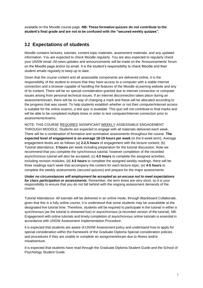available on the Moodle course page. **NB: These formative quizzes do not contribute to the student's final grade and are not to be confused with the "secured weekly quizzes".**

#### **3.2 Expectations of students**

Moodle contains lectures, tutorials, content topic materials, assessment materials, and any updated information. You are expected to check Moodle regularly. You are also expected to regularly check your UNSW email. All news updates and announcements will be made on the 'Announcements' forum on the Moodle page and/or by email. It is the student's responsibility to check Moodle and their student emails regularly to keep up to date.

Given that the course content and all assessable components are delivered online, it is the responsibility of the student to ensure that they have access to a computer with a stable internet connection and a browser capable of handling the features of the Moodle eLearning website and any of its content. There will be no special consideration granted due to internet connection or computer issues arising from personal technical issues. If an internet disconnection takes place during an assessment/exam, there will be no way of changing a mark and these will be allocated according to the progress that was saved. To help students establish whether or not their computer/internet access is suitable for the online exam/s, a test quiz is available. This quiz will not contribute to final marks and will be able to be completed multiple times in order to test computer/internet connection prior to assessments/exams.

NOTE: THIS COURSE REQUIRES SIGNIFICANT WEEKLY ASSESSABLE ENGAGEMENT THROUGH MOODLE. Students are expected to engage with all materials delivered each week. There will be a combination of formative and summative assessments throughout the course. **The expected level of engagement is on average 18-19 hours per week** (in the 6-week term). Average engagement levels are as follows (a) **2-2.5 hours** of engagement with the lecture content; (b) Tutorial attendance, **3 hours** per week including preparation for the tutorial discussion. Note we recommend that you complete the synchronous tutorial, however completion of the recorded asynchronous tutorial will also be accepted; (c) **4.5 hours** to complete the assigned activities, including revision modules; (d) **4.5 hours** to complete the assigned weekly readings, there will be three readings each week that accompany the content for each lecture topic; (e) **4-5 hours** to complete the weekly assessments (secured quizzes) and prepare for the major assessments.

*Under no circumstances will employment be accepted as an excuse not to meet expectations for class participation or assessments.* Remember, the term times are very short, so it is your responsibility to ensure that you do not fall behind with the ongoing assessment demands of the course.

Tutorial Attendance: All tutorials will be delivered in an online mode, through Blackboard Collaborate, given that this is a fully online course, it is understood that some students may be unavailable at the designated live tutorial time. Therefore, students will be required to participate in the tutorial in either a synchronous (as the tutorial is streamed live) or asynchronous (a recorded version of the tutorial). NB: Engagement with online tutorials and timely completion of asynchronous online tutorials is essential in accordance with UNSW Assessment Implementation Procedure.

It is expected that students are aware of UNSW Assessment policy and understand how to apply for special consideration within the framework of the Graduate Diploma Special consideration policies and procedures if they are unable to complete an assignment/exam due to illness and/or misadventure.

It is expected that students have read through the Graduate Diploma Student Guide and the School of Psychology Student Guide.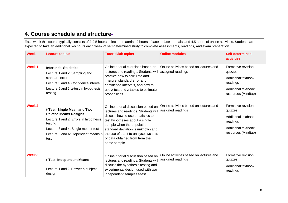## **4. Course schedule and structure-**

Each week this course typically consists of 2-2.5 hours of lecture material, 2 hours of face to face tutorials, and 4.5 hours of online activities. Students are expected to take an additional 5-6 hours each week of self-determined study to complete assessments, readings, and exam preparation.

| <b>Week</b>       | Lecture topic/s                                                                                                                                                                                       | <b>Tutorial/lab topics</b>                                                                                                                                                                                                                                                                                       | <b>Online modules</b>                                        | Self-determined<br><b>activities</b>                                                                           |
|-------------------|-------------------------------------------------------------------------------------------------------------------------------------------------------------------------------------------------------|------------------------------------------------------------------------------------------------------------------------------------------------------------------------------------------------------------------------------------------------------------------------------------------------------------------|--------------------------------------------------------------|----------------------------------------------------------------------------------------------------------------|
| Week 1            | <b>Inferential Statistics</b><br>Lecture 1 and 2: Sampling and<br>standard error<br>Lecture 3 and 4: Confidence interval<br>Lecture 5 and 6: z-test in hypothesis<br>testing                          | Online tutorial exercises based on<br>lectures and readings. Students will<br>practice how to calculate and<br>interpret standard error and<br>confidence intervals, and how to<br>use z-test and z tables to estimate<br>probabilities.                                                                         | Online activities based on lectures and<br>assigned readings | Formative revision<br>quizzes<br>Additional textbook<br>readings<br>Additional textbook<br>resources (Mindtap) |
| Week <sub>2</sub> | t-Test: Single Mean and Two<br><b>Related Means Designs</b><br>Lecture 1 and 2: Errors in hypothesis<br>testing<br>Lecture 3 and 4: Single mean t-test<br>Lecture 5 and 6: Dependent means t-<br>test | Online tutorial discussion based on<br>lectures and readings. Students will<br>discuss how to use t-statistics to<br>test hypotheses about a single<br>sample when the population<br>standard deviation is unknown and<br>the use of t-test to analyse two sets<br>of data obtained from from the<br>same sample | Online activities based on lectures and<br>assigned readings | Formative revision<br>quizzes<br>Additional textbook<br>readings<br>Additional textbook<br>resources (Mindtap) |
| Week 3            | t-Test: Independent Means<br>Lecture 1 and 2: Between-subject<br>design                                                                                                                               | Online tutorial discussion based on<br>lectures and readings. Students will<br>discuss the hypothesis testing and<br>experimental design used with two<br>independent samples t-test                                                                                                                             | Online activities based on lectures and<br>assigned readings | Formative revision<br>quizzes<br>Additional textbook<br>readings                                               |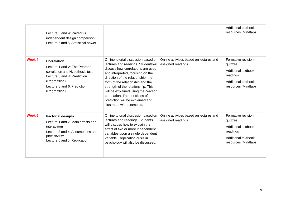|                   | Lecture 3 and 4: Paired vs.<br>independent design comparison<br>Lecture 5 and 6: Statistical power                                                                                  |                                                                                                                                                                                                                                                                                                                                                                                                                |                                                              | Additional textbook<br>resources (Mindtap)                                                                     |
|-------------------|-------------------------------------------------------------------------------------------------------------------------------------------------------------------------------------|----------------------------------------------------------------------------------------------------------------------------------------------------------------------------------------------------------------------------------------------------------------------------------------------------------------------------------------------------------------------------------------------------------------|--------------------------------------------------------------|----------------------------------------------------------------------------------------------------------------|
| Week 4            | <b>Correlation</b><br>Lecture 1 and 2: The Pearson<br>correlation and Hypothesis test<br>Lecture 3 and 4: Prediction<br>(Regression)<br>Lecture 5 and 6: Prediction<br>(Regression) | Online tutorial discussion based on<br>lectures and readings. Studentswill<br>discuss how correlations are used<br>and interpreted, focusing on the<br>direction of the relationship, the<br>form of the relationship and the<br>strength of the relationship. This<br>will be explained using the Pearson<br>correlation. The principles of<br>prediction will be explained and<br>illustrated with examples. | Online activities based on lectures and<br>assigned readings | Formative revision<br>quizzes<br>Additional textbook<br>readings<br>Additional textbook<br>resources (Mindtap) |
| Week <sub>5</sub> | <b>Factorial designs</b><br>Lecture 1 and 2: Main effects and<br>interactions<br>Lecture 3 and 4: Assumptions and<br>peer review<br>Lecture 5 and 6: Replication                    | Online tutorial discussion based on<br>lectures and readings. Students<br>will discuss how to explain the<br>effect of two or more independent<br>variables upon a single dependent<br>variable. Replication crisis in<br>psychology will also be discussed.                                                                                                                                                   | Online activities based on lectures and<br>assigned readings | Formative revision<br>quizzes<br>Additional textbook<br>readings<br>Additional textbook<br>resources (Mindtap) |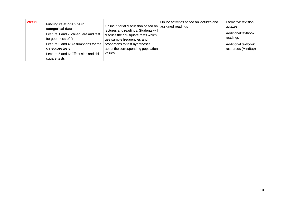| Week 6 | <b>Finding relationships in</b><br>categorical data<br>Lecture 1 and 2: chi-square and test<br>for goodness of fit<br>Lecture 3 and 4: Assumptions for the<br>chi-square tests<br>Lecture 5 and 6: Effect size and chi- | Online tutorial discussion based on<br>lectures and readings. Students will<br>discuss the chi-square tests which<br>use sample frequencies and<br>proportions to test hypotheses<br>about the corresponding population<br>values. | Online activities based on lectures and<br>assigned readings | Formative revision<br>quizzes<br>Additional textbook<br>readings<br>Additional textbook<br>resources (Mindtap) |
|--------|-------------------------------------------------------------------------------------------------------------------------------------------------------------------------------------------------------------------------|------------------------------------------------------------------------------------------------------------------------------------------------------------------------------------------------------------------------------------|--------------------------------------------------------------|----------------------------------------------------------------------------------------------------------------|
|        | square tests                                                                                                                                                                                                            |                                                                                                                                                                                                                                    |                                                              |                                                                                                                |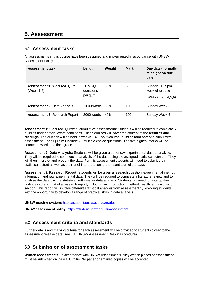# **5. Assessment**

#### **5.1 Assessment tasks**

All assessments in this course have been designed and implemented in accordance with UNSW Assessment Policy.

| Assessment task                                   | Length                          | Weight          | <b>Mark</b> | Due date (normally<br>midnight on due<br>date)                |
|---------------------------------------------------|---------------------------------|-----------------|-------------|---------------------------------------------------------------|
| <b>Assessment 1: "Secured" Quiz</b><br>(Week 1-6) | 20 MCQ<br>questions<br>per quiz | 30%             | 30          | Sunday 11:59pm<br>week of release<br>(Weeks 1, 2, 3, 4, 5, 6) |
| <b>Assessment 2: Data Analysis</b>                | $1000$ words                    | 30 <sup>%</sup> | 100         | Sunday Week 3                                                 |
| <b>Assessment 3: Research Report</b>              | $2000$ words                    | 40%             | 100         | Sunday Week 6                                                 |

**Assessment 1:** "Secured" Quizzes (cumulative assessment): Students will be required to complete 6 quizzes under official exam conditions. These quizzes will cover the content of the **lectures and readings.** The quizzes will be held in weeks 1-6. The "Secured" quizzes form part of a cumulative assessment. Each Quiz will include 20 multiple choice questions. The five highest marks will be counted towards the final grade.

**Assessment 2: Data Analysis:** Students will be given a set of raw experimental data to analyse. They will be required to complete an analysis of the data using the assigned statistical software. They will then interpret and present the data. For this assessment students will need to submit their statistical output as well as their brief interpretation and presentation of the data.

**Assessment 3: Research Report:** Students will be given a research question, experimental method information and raw experimental data. They will be required to complete a literature review and to analyse the data using a statistical software for data analysis. Students will need to write up their findings in the format of a research report, including an introduction, method, results and discussion section. This report will involve different statistical analysis from assessment 1, providing students with the opportunity to develop a range of practical skills in data analysis.

#### **UNSW grading system:** <https://student.unsw.edu.au/grades>

**UNSW assessment policy:** <https://student.unsw.edu.au/assessment>

### **5.2 Assessment criteria and standards**

Further details and marking criteria for each assessment will be provided to students closer to the assessment release date (see 4.1: UNSW Assessment Design Procedure).

### **5.3 Submission of assessment tasks**

**Written assessments:** In accordance with UNSW Assessment Policy written pieces of assessment must be submitted online via Turnitin. No paper or emailed copies will be accepted.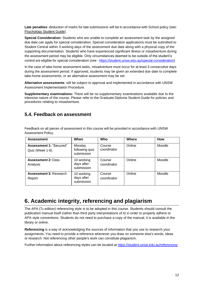**Late penalties**: deduction of marks for late submissions will be in accordance with School policy (see: [Psychology](https://moodle.telt.unsw.edu.au/mod/resource/view.php?id=1630526) Student Guide).

**Special Consideration:** Students who are unable to complete an assessment task by the assigned due date can apply for special consideration. Special consideration applications must be submitted to Student Central within 3 working days of the assessment due date along with a physical copy of the supporting documentation. Students who have experienced significant illness or misadventure during the assessment period may be eligible. Only circumstances deemed to be outside of the student's control are eligible for special consideration (see - [https://student.unsw.edu.au/special-consideration\)](https://student.unsw.edu.au/special-consideration)

In the case of take-home assessment tasks, misadventure must occur for at least 3 consecutive days during the assessment period. If approved, students may be given an extended due date to complete take-home assessments, or an alternative assessment may be set.

**Alternative assessments**: will be subject to approval and implemented in accordance with UNSW Assessment Implementation Procedure.

**Supplementary examinations:** There will be no supplementary examinations available due to the intensive nature of the course. Please refer to the Graduate Diploma Student Guide for policies and procedures relating to misadventure.

#### **5.4. Feedback on assessment**

Feedback on all pieces of assessment in this course will be provided in accordance with UNSW Assessment Policy.

| <b>Assessment</b>                                 | When                                   | Who                   | Where  | How    |
|---------------------------------------------------|----------------------------------------|-----------------------|--------|--------|
| <b>Assessment 1: "Secured"</b><br>Quiz (Week 1-6) | Monday<br>following quiz<br>submission | Course<br>coordinator | Online | Moodle |
| <b>Assessment 2: Data</b><br>Analysis             | 10 working<br>days after<br>submission | Course<br>coordinator | Online | Moodle |
| <b>Assessment 3: Research</b><br>Report           | 10 working<br>days after<br>submission | Course<br>coordinator | Online | Moodle |

## **6. Academic integrity, referencing and plagiarism**

The APA (7th edition) referencing style is to be adopted in this course. Students should consult the publication manual itself (rather than third party interpretations of it) in order to properly adhere to APA style conventions. Students do not need to purchase a copy of the manual, it is available in the library or online.

**Referencing** is a way of acknowledging the sources of information that you use to research your [assignments.](http://www.apastyle.org/manual/index.aspx) You need to provide a reference whenever you draw on someone else's words, ideas or research. Not referencing other people's work can constitute plagiarism.

Further information about referencing styles can be located at https://student.unsw.edu.au/referencing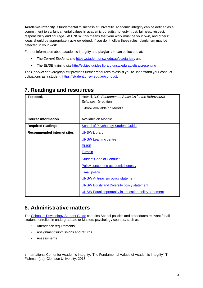**Academic integrity** is fundamental to success at university. Academic integrity can be defined as a commitment to six fundamental values in academic pursuits**:** honesty, trust, fairness, respect, responsibility and courage.*1* At UNSW, this means that your work must be your own, and others' ideas should be appropriately acknowledged. If you don't follow these rules, plagiarism may be detected in your work.

Further information about academic integrity and **plagiarism** can be located at:

- The *Current Students* site <https://student.unsw.edu.au/plagiarism>*,* and
- The *ELISE* training site http://subjectquides.library.unsw.edu.au/elise/presenting

The *Conduct and Integrity Unit* provides further resources to assist you to understand your conduct obligations as a student: [https://student.unsw.edu.au/conduct.](https://student.unsw.edu.au/conduct)

| <b>Textbook</b>                   | Howell, D.C. Fundamental Statistics for the Behavioural     |
|-----------------------------------|-------------------------------------------------------------|
|                                   | Sciences, 9th edition                                       |
|                                   | E-book available on Moodle                                  |
|                                   |                                                             |
| <b>Course information</b>         | Available on Moodle                                         |
| <b>Required readings</b>          | <b>School of Psychology Student Guide.</b>                  |
| <b>Recommended internet sites</b> | <b>UNSW Library</b>                                         |
|                                   | <b>UNSW Learning centre</b>                                 |
|                                   | <b>ELISE</b>                                                |
|                                   | <b>Turnitin</b>                                             |
|                                   | <b>Student Code of Conduct</b>                              |
|                                   | Policy concerning academic honesty                          |
|                                   | <b>Email policy</b>                                         |
|                                   | <b>UNSW Anti-racism policy statement</b>                    |
|                                   | <b>UNSW Equity and Diversity policy statement</b>           |
|                                   | <b>UNSW Equal opportunity in education policy statement</b> |

## **7. Readings and resources**

# **8. Administrative matters**

The School of [Psychology](http://psy.unsw.edu.au/sites/all/files/page_file_attachment/2018%20S1%20Psychology%20Student%20Guide_20180130.pdf) Student Guide contains School policies and procedures relevant for all students enrolled in undergraduate or Masters psychology courses, such as:

- Attendance requirements
- Assignment submissions and returns
- Assessments

1 International Center for Academic Integrity, 'The Fundamental Values of Academic Integrity', T. Fishman (ed), Clemson University, 2013.